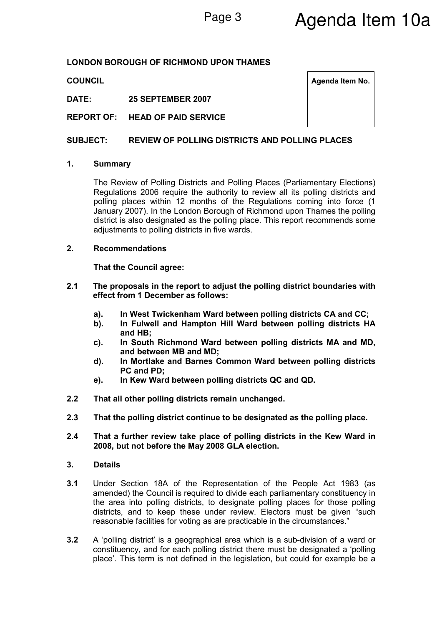## LONDON BOROUGH OF RICHMOND UPON THAMES

DATE: 25 SEPTEMBER 2007

REPORT OF: HEAD OF PAID SERVICE

## SUBJECT: REVIEW OF POLLING DISTRICTS AND POLLING PLACES

## 1. Summary

The Review of Polling Districts and Polling Places (Parliamentary Elections) Regulations 2006 require the authority to review all its polling districts and polling places within 12 months of the Regulations coming into force (1 January 2007). In the London Borough of Richmond upon Thames the polling district is also designated as the polling place. This report recommends some adjustments to polling districts in five wards.

#### 2. Recommendations

That the Council agree:

- 2.1 The proposals in the report to adjust the polling district boundaries with effect from 1 December as follows:
	- a). In West Twickenham Ward between polling districts CA and CC;
	- b). In Fulwell and Hampton Hill Ward between polling districts HA and HB;
	- c). In South Richmond Ward between polling districts MA and MD, and between MB and MD;
	- d). In Mortlake and Barnes Common Ward between polling districts PC and PD;
	- e). In Kew Ward between polling districts QC and QD.
- 2.2 That all other polling districts remain unchanged.
- 2.3 That the polling district continue to be designated as the polling place.
- 2.4 That a further review take place of polling districts in the Kew Ward in 2008, but not before the May 2008 GLA election.

#### 3. Details

- 3.1 Under Section 18A of the Representation of the People Act 1983 (as amended) the Council is required to divide each parliamentary constituency in the area into polling districts, to designate polling places for those polling districts, and to keep these under review. Electors must be given "such reasonable facilities for voting as are practicable in the circumstances."
- 3.2 A 'polling district' is a geographical area which is a sub-division of a ward or constituency, and for each polling district there must be designated a 'polling place'. This term is not defined in the legislation, but could for example be a

| <b>COUNCIL</b> | Agenda Item No. |
|----------------|-----------------|
|----------------|-----------------|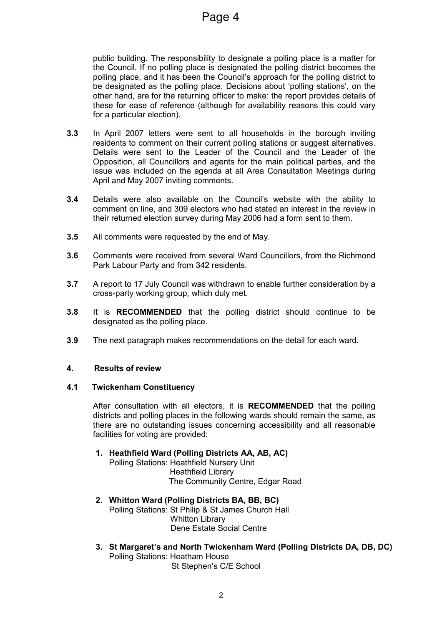public building. The responsibility to designate a polling place is a matter for the Council. If no polling place is designated the polling district becomes the polling place, and it has been the Council's approach for the polling district to be designated as the polling place. Decisions about 'polling stations', on the other hand, are for the returning officer to make: the report provides details of these for ease of reference (although for availability reasons this could vary for a particular election).

- 3.3 In April 2007 letters were sent to all households in the borough inviting residents to comment on their current polling stations or suggest alternatives. Details were sent to the Leader of the Council and the Leader of the Opposition, all Councillors and agents for the main political parties, and the issue was included on the agenda at all Area Consultation Meetings during April and May 2007 inviting comments.
- 3.4 Details were also available on the Council's website with the ability to comment on line, and 309 electors who had stated an interest in the review in their returned election survey during May 2006 had a form sent to them.
- 3.5 All comments were requested by the end of May.
- 3.6 Comments were received from several Ward Councillors, from the Richmond Park Labour Party and from 342 residents.
- 3.7 A report to 17 July Council was withdrawn to enable further consideration by a cross-party working group, which duly met.
- 3.8 It is **RECOMMENDED** that the polling district should continue to be designated as the polling place.
- 3.9 The next paragraph makes recommendations on the detail for each ward.

## 4. Results of review

## 4.1 Twickenham Constituency

After consultation with all electors, it is RECOMMENDED that the polling districts and polling places in the following wards should remain the same, as there are no outstanding issues concerning accessibility and all reasonable facilities for voting are provided:

1. Heathfield Ward (Polling Districts AA, AB, AC)

Polling Stations: Heathfield Nursery Unit Heathfield Library The Community Centre, Edgar Road

- 2. Whitton Ward (Polling Districts BA, BB, BC) Polling Stations: St Philip & St James Church Hall Whitton Library Dene Estate Social Centre
- 3. St Margaret's and North Twickenham Ward (Polling Districts DA, DB, DC) Polling Stations: Heatham House St Stephen's C/E School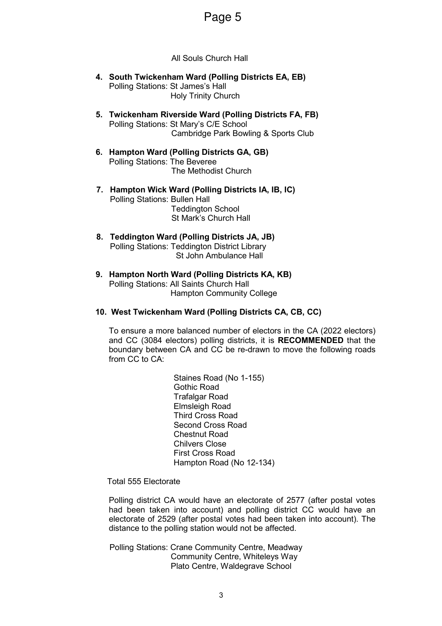# Page 5

All Souls Church Hall

- 4. South Twickenham Ward (Polling Districts EA, EB) Polling Stations: St James's Hall Holy Trinity Church
- 5. Twickenham Riverside Ward (Polling Districts FA, FB) Polling Stations: St Mary's C/E School Cambridge Park Bowling & Sports Club
- 6. Hampton Ward (Polling Districts GA, GB) Polling Stations: The Beveree The Methodist Church
- 7. Hampton Wick Ward (Polling Districts IA, IB, IC) Polling Stations: Bullen Hall Teddington School St Mark's Church Hall
- 8. Teddington Ward (Polling Districts JA, JB) Polling Stations: Teddington District Library St John Ambulance Hall
- 9. Hampton North Ward (Polling Districts KA, KB) Polling Stations: All Saints Church Hall Hampton Community College
- 10. West Twickenham Ward (Polling Districts CA, CB, CC)

To ensure a more balanced number of electors in the CA (2022 electors) and CC (3084 electors) polling districts, it is RECOMMENDED that the boundary between CA and CC be re-drawn to move the following roads from CC to CA:

> Staines Road (No 1-155) Gothic Road Trafalgar Road Elmsleigh Road Third Cross Road Second Cross Road Chestnut Road Chilvers Close First Cross Road Hampton Road (No 12-134)

Total 555 Electorate

Polling district CA would have an electorate of 2577 (after postal votes had been taken into account) and polling district CC would have an electorate of 2529 (after postal votes had been taken into account). The distance to the polling station would not be affected.

Polling Stations: Crane Community Centre, Meadway Community Centre, Whiteleys Way Plato Centre, Waldegrave School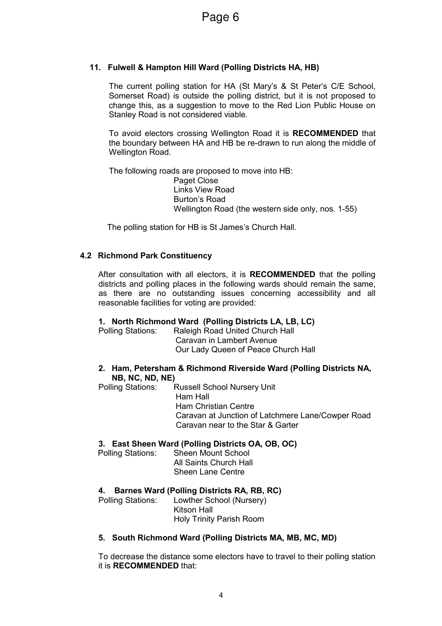# 11. Fulwell & Hampton Hill Ward (Polling Districts HA, HB)

The current polling station for HA (St Mary's & St Peter's C/E School, Somerset Road) is outside the polling district, but it is not proposed to change this, as a suggestion to move to the Red Lion Public House on Stanley Road is not considered viable.

To avoid electors crossing Wellington Road it is RECOMMENDED that the boundary between HA and HB be re-drawn to run along the middle of Wellington Road.

The following roads are proposed to move into HB: Paget Close Links View Road Burton's Road Wellington Road (the western side only, nos. 1-55)

The polling station for HB is St James's Church Hall.

# 4.2 Richmond Park Constituency

After consultation with all electors, it is **RECOMMENDED** that the polling districts and polling places in the following wards should remain the same, as there are no outstanding issues concerning accessibility and all reasonable facilities for voting are provided:

# 1. North Richmond Ward (Polling Districts LA, LB, LC)

Polling Stations: Raleigh Road United Church Hall Caravan in Lambert Avenue Our Lady Queen of Peace Church Hall

## 2. Ham, Petersham & Richmond Riverside Ward (Polling Districts NA, NB, NC, ND, NE)

Polling Stations: Russell School Nursery Unit Ham Hall Ham Christian Centre Caravan at Junction of Latchmere Lane/Cowper Road Caravan near to the Star & Garter

# 3. East Sheen Ward (Polling Districts OA, OB, OC)

Polling Stations: Sheen Mount School All Saints Church Hall Sheen Lane Centre

# 4. Barnes Ward (Polling Districts RA, RB, RC)

Polling Stations: Lowther School (Nursery) Kitson Hall Holy Trinity Parish Room

## 5. South Richmond Ward (Polling Districts MA, MB, MC, MD)

To decrease the distance some electors have to travel to their polling station it is RECOMMENDED that: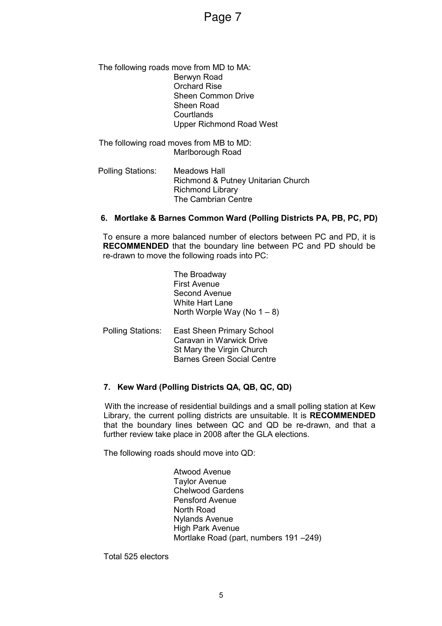Page 7

#### The following roads move from MD to MA: Berwyn Road Orchard Rise Sheen Common Drive Sheen Road **Courtlands** Upper Richmond Road West

The following road moves from MB to MD: Marlborough Road

Polling Stations: Meadows Hall Richmond & Putney Unitarian Church Richmond Library The Cambrian Centre

## 6. Mortlake & Barnes Common Ward (Polling Districts PA, PB, PC, PD)

To ensure a more balanced number of electors between PC and PD, it is RECOMMENDED that the boundary line between PC and PD should be re-drawn to move the following roads into PC:

> The Broadway First Avenue Second Avenue White Hart Lane North Worple Way (No  $1 - 8$ )

Polling Stations: East Sheen Primary School Caravan in Warwick Drive St Mary the Virgin Church Barnes Green Social Centre

# 7. Kew Ward (Polling Districts QA, QB, QC, QD)

With the increase of residential buildings and a small polling station at Kew Library, the current polling districts are unsuitable. It is RECOMMENDED that the boundary lines between QC and QD be re-drawn, and that a further review take place in 2008 after the GLA elections.

The following roads should move into QD:

Atwood Avenue Taylor Avenue Chelwood Gardens Pensford Avenue North Road Nylands Avenue High Park Avenue Mortlake Road (part, numbers 191 –249)

Total 525 electors